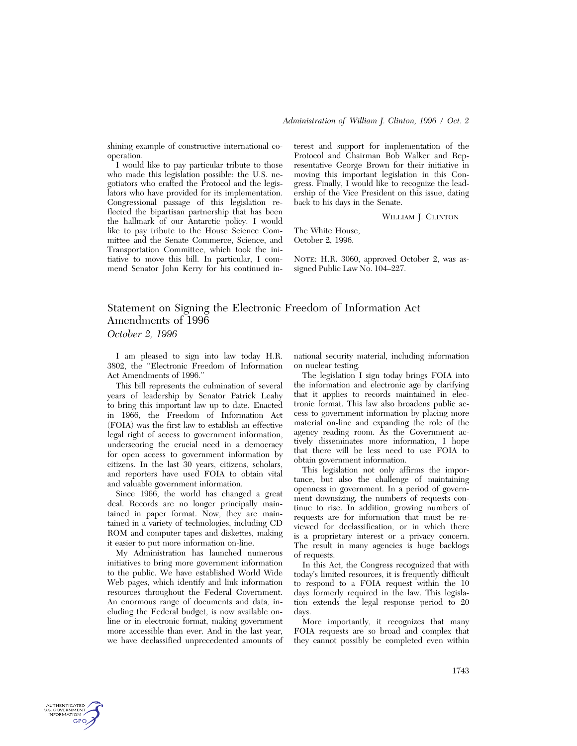shining example of constructive international cooperation.

I would like to pay particular tribute to those who made this legislation possible: the U.S. negotiators who crafted the Protocol and the legislators who have provided for its implementation. Congressional passage of this legislation reflected the bipartisan partnership that has been the hallmark of our Antarctic policy. I would like to pay tribute to the House Science Committee and the Senate Commerce, Science, and Transportation Committee, which took the initiative to move this bill. In particular, I commend Senator John Kerry for his continued interest and support for implementation of the Protocol and Chairman Bob Walker and Representative George Brown for their initiative in moving this important legislation in this Congress. Finally, I would like to recognize the leadership of the Vice President on this issue, dating back to his days in the Senate.

WILLIAM J. CLINTON

The White House, October 2, 1996.

NOTE: H.R. 3060, approved October 2, was assigned Public Law No. 104–227.

## Statement on Signing the Electronic Freedom of Information Act Amendments of 1996 *October 2, 1996*

I am pleased to sign into law today H.R. 3802, the ''Electronic Freedom of Information Act Amendments of 1996.''

This bill represents the culmination of several years of leadership by Senator Patrick Leahy to bring this important law up to date. Enacted in 1966, the Freedom of Information Act (FOIA) was the first law to establish an effective legal right of access to government information, underscoring the crucial need in a democracy for open access to government information by citizens. In the last 30 years, citizens, scholars, and reporters have used FOIA to obtain vital and valuable government information.

Since 1966, the world has changed a great deal. Records are no longer principally maintained in paper format. Now, they are maintained in a variety of technologies, including CD ROM and computer tapes and diskettes, making it easier to put more information on-line.

My Administration has launched numerous initiatives to bring more government information to the public. We have established World Wide Web pages, which identify and link information resources throughout the Federal Government. An enormous range of documents and data, including the Federal budget, is now available online or in electronic format, making government more accessible than ever. And in the last year, we have declassified unprecedented amounts of

national security material, including information on nuclear testing.

The legislation I sign today brings FOIA into the information and electronic age by clarifying that it applies to records maintained in electronic format. This law also broadens public access to government information by placing more material on-line and expanding the role of the agency reading room. As the Government actively disseminates more information, I hope that there will be less need to use FOIA to obtain government information.

This legislation not only affirms the importance, but also the challenge of maintaining openness in government. In a period of government downsizing, the numbers of requests continue to rise. In addition, growing numbers of requests are for information that must be reviewed for declassification, or in which there is a proprietary interest or a privacy concern. The result in many agencies is huge backlogs of requests.

In this Act, the Congress recognized that with today's limited resources, it is frequently difficult to respond to a FOIA request within the 10 days formerly required in the law. This legislation extends the legal response period to 20 days.

More importantly, it recognizes that many FOIA requests are so broad and complex that they cannot possibly be completed even within